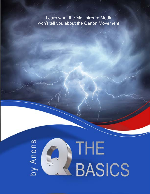Learn what the Mainstream Media won't tell you about the Qanon Movement.

## by Anons



# THE<br>BASICS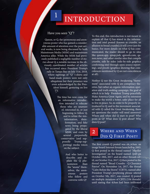### INTRODUCTION

#### Have you seen "Q"?

1

Qanon, or Q, the eponymous and anonymous poster who has gained a considerable amount of attention over the past several weeks, is now being discussed by both Mainstream Media (MSM) and mainstream America alike. While the MSM had previously published a negligible number of stories about Q, a notable increase in the obviously coordinated number of articles has occurred since President Trump's rally in Tampa Bay on July 31st, 2018, where sightings of "Q" t-shirts and hand-made posters were not only ubiquitous but their presence was even acknowledged by the President himself, gesturing on live TV.

> The time has now come for an informative introduction intended to educate those who are unaware of, interested in, or just beginning to follow Q, and to refute the mis-<br>information disininformation. formation, and fake news being propagated by the liberal MSM, and even by several purportedly conservative (and supposedly Trump-supporting) media voices on the subject.

> > And who better to describe and explain the Q phenomenon than the "anons" themselves, the anonymous posters who follow and converse with Q?

To this end, this introduction is not meant to explain all that Q has stated in the information and intel posted (known as crumbs, an allusion to bread crumbs); it will cover just the basics. For more details on what Q has communicated, the reader should to go to sites like qanon.app, qmap.pub, qproofs.com, qanon.news, and other similar sites that compile crumbs, side by sides (side-by-side graphics confirming intel through open-source reporting), and proofs (graphics showing that coincidences mentioned by Q are not coincidences at all).

Neither Q nor the Great Awakening "movement" associated with Q are conspiracy theories, but rather an organic information operation and truth-seeking campaign, the goal of which is to help President Trump peacefully Make America Great Again, and by extension to make the world a better, safer place for all to live in peace. So, in order to be properly introduced to Q, and to the movement associated with Q called the Great Awakening, there are questions the reader will need answered: Where and when did Q start to post? Who posts as Q? What does Q post about? Why does Q post?

#### 2 WHERE AND WHEN DID Q FIRST POST?

The first crumb Q posted was on 4chan, an image board Internet forum launched in 2003. Q first posted in the thread named "Mueller Investigation" on the board named /pol/ on October 28th, 2017, and on other threads until, on October 31st, 2017, Q then posted in the thread named "Bread Crumbs - Q Clearance Patriot". On November 1st, 2017, the thread "Calm Before the Storm" (CBTS), named after President Trump's perplexing phrase uttered on October 5th, 2017, was created. Q posted on multiple iterations of CBTS (536 threads) until stating that 4chan had been infiltrated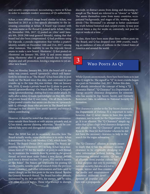and security compromised, necessitating a move to 8chan in order to maintain readers' assurance of Q's authenticity.

8chan, a non-affiliated image board similar to 4chan, was launched in 2013 as a free-speech alternative to the increasing censorship at 4chan. A board was created with the same name as the thread Q posted in on 4chan, /cbts/, on November 19th, 2017. Q posted on /cbts/ until January 6th, 2018 (308 total general threads), stating that that board had also been compromised. Q had problems using the tripcode, a pseudo-registration that verifies a poster's identity, notably on December 14th and 21st, 2017, among other instances. This inability to use the tripcode forced anons to make a new board: /thestorm/. Q first posted on /thestorm/ on January 5th, 2018. Q and anons stopped using /thestorm/ after 41 general threads due to internal disputes and self-promotion, forcing a migration to yet another new board.

Then, on Monday, January 8th, 2018, the board still in use today was created, named /qresearch/, which will henceforth be referred to as "The Board". Q has been able to post freely on The Board since that date, and continues to post crumbs up to the time this was written. Also on January 8th, 2018, Q made a private board for Q alone to post in, named /greatawakening/. On March 28th, 2018, Q stopped using /greatawakening/, stating that it was under attack. Finally, after a delay, Q made /patriotsfight/ on May 4th, 2018, the private board that Q uses today. On all these boards, Q has posted crumbs that anons can discuss on /qresearch/ with Q, although those who are new to The Board are encouraged to first observe how anons operate and research before contributing.

However, it should be noted that there are no communications outside these boards or with anyone privately and, as Q has stated, anyone claiming otherwise, "should be considered fake news and disregarded immediately"!

Since the MSM has yet to accurately describe how The Board actually works, some clarification is in order. 8chan is maintained by the Code Monkey (CM), which hosts The Board. The Board Owner (BO) maintains The Board, appointing Board Volunteers (BV) to help. 8chan has a maximum limit of 751 for the number of posts in each thread. So, to maintain the research done by anons in the general thread, an anon must make (bake) a new thread (bread) each time a thread reaches 751 posts. This anon is known as "the Baker". The Bakers are responsible for posting Q's recent crumbs, notable posts of research from the previous thread (notables), and other information and links used by anons (dough) as the first posts in the new thread. Besides the General Research thread, The Board has other threads, maintained by the BO and BVs, for memes, side by sides, and other research topics. Those who attempt to disrupt,

discredit, or distract anons from doing and discussing research on The Board are referred to as "clowns" or "shills". The anons themselves come from many countries, occupational backgrounds, and stages of life, working cooperatively ("the Hivemind") to attempt to better understand the truth behind historical and current events. Q may post several times a day for weeks or, conversely, not post for days or weeks at a time.

To date, there have been more than three million posts on The Board, and Q has dropped over 2000 crumbs, reaching an audience of tens of millions in the United States of America and around the world.

3 WHO POSTS AS Q?

While Q posts anonymously, there have been hints as to just who  $\overline{\text{Q}}$  might be. The signoff as " $\overline{\text{Q}}$ " in most crumbs began in a post on November 2nd, 2017. Before this date, Q had already introduced the concept of being a "Q Clearance Patriot". "Q Clearance" is a Department of Energy security clearance designation for someone who has access to Top Secret, Secret, and Formerly Restricted Data, in addition to National Security Information.

This clearance is similar to the Top Secret clearance in the Department of Defense. It is important to note, however, that Q never claims to have this specific clearance, nor to work for the Department of Energy. It is an allusion. The "Q Clearance" simply signifies that Q has a high level clearance designation, and alludes to the "Q Clearance" given to Jack Ryan in *The Hunt for Red October* wherein he did not have the necessary clearance to help in the search for the rogue submarine.

The "Q Clearance" allusion is simply meant to imply that Q has the necessary security clearance to be cryptically divulging insider information without leaking, thus maintaining national security.  $Q_s^s$  use of allusions from popular culture has a dual purpose: not only to maintain national security, but also as a foil to expose, mirror and thus counter the media and entertainment industries' deliberate development of popular culture into a propaganda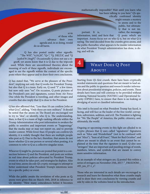mathematically impossible? Wait until you learn who has been talking to you here." Q's spe-

cifically confirmed identity might remain a mystery to anons and to the public, but ultimately that is not im-

arm of those who advance their own agenda and, in so doing, would do us all harm.

Q has also posted under other signoffs: "The WH", "4,10,20", "Q+", "Q, DELTA", and "Q [auth478-24zgP]". Occasionally Q does not use a signoff, yet anons know that it is Q due to the tripcode used. While there are unconfirmed theories about the meaning of each of these signoffs, individuals are encouraged to see the signoffs within the context of the specific posts where they appear and to draw their own conclusions.

Q has stated that, "We serve at the pleasure of the President", implying not only that Q works for President Trump, but also that Q is a team. Early on, Q used "I" a few times, but now only uses "we". On occasion, Q posts pictures of the President's pen and signatures, scenes from Air Force One while the President is traveling, and other images and crumbs that also imply that Q is close to the President.

Q has also affirmed that, "Less than 10 can confirm [who or what Q is]", adding, "Only three are non-military." It should be noted that the anons on The Board are encouraged not to try to "dox", or identify, who Q is. The understanding, then, is that Q is a team of high-ranking officials within the Trump Administration who post information to awaken the public to sensitive and important events or "happenings" that the media may or may not report on, and to provide insider context. While fewer than 10 people can confirm Q's identity, it is widely thought that there are multiple people who post as Q. Due to the fact, therefore, that anons do not know whether Q is one person or several when posting, it is common to refer to Q as a collective singular noun.

Whoever Q might be, pictures are posted that point to a connection between Q and the President, and posts are written in real time about policies advocated by President Trump, events in which he takes part, and strategies he deploys. Also in real time, anons decode Q's cryptic messages to attempt to better understand what President Trump's intentions were for a specific policy or event.

While the public awaits the revelation of who posts as Q, anons were given this on March 10th, 2018 in reference to Q's identity: "How many coincidences before it becomes

portant. It is, rather, the messages,<br>rmation, intel, and facts that O posts which are information, intel, and facts that important. Anons focus not on who Q is, but on what Q is saying. The intel decoded from the crumbs gives anons, and the public thereafter, what appears to be insider information on what President Trump's administration has done, is doing, and will do.

#### 4 WHAT DOES Q POST ABOUT?

Starting from Q's first crumb, there have been cryptically worded statements and questions that are meant to lead anons and the public to question and research insider information about presidential strategies, policies, and events. These details have been and will continue to be provided without violating National Security (NATSEC) and Operational Security (OPSEC) laws, to ensure that there is no leaking or divulging of secret or classified information.

This intel is focused on what President Trump has faced, is facing, and will face as the leader of the free world: corruption, subversion, sedition, and evil. The President is fighting for "We The People" of America, the public citizenry, and, ultimately, the world.

Ongoing or upcoming events in this fight are alluded to in cryptic phrases that Q uses called "signatures". Signatures such as "Alice and Wonderland" (not to be confused with just "Alice"), "Sum of all Fears", "Hunt for Red October", and others are meant to allude to an event that cannot be explained at the time that the signature is used. Q also uses "stringers" that are important and puzzling strings of words, numbers, letters, and symbols that are meant to convey more sensitive information.

As an example of what stringers are, Q posted this within a series of stringers on November 25th, 2017: "\_FREEDOM-\_  $v05_{\text{yes}}27 - 1_{\text{z}}$ ".

Those who are interested in such details are encouraged to research and learn for themselves what these crumbs imply and to draw their own conclusions by viewing crumbs and side by sides in the websites listed in the introduction.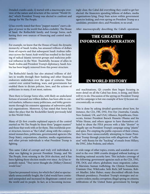Detailed crumbs aside, Q started with a macroscopic overview of the nature and structure of the current "World Order," which President Trump was elected to confront and change for We The People.

Q has overtly stated that three "puppet masters" exert a degree of power in the world that defies credulity: The House of Saud, the Rothschild family, and George Soros, each having their own sources of financing and control mechanisms.

For example, we know that the House of Saud, the dynastic monarchy of Saudi Arabia, has amassed trillions of dollars from oil exports and that subsequent Saudi Arabian influence across the Sunni Arab world has resulted in the funding of radical Islamic terrorist groups and malicious political influence in the West. Thankfully, because of allies in Saudi Arabia and President Trump's diplomacy, Saudi Arabia has been largely removed from this power structure.

The Rothschild family has also attained trillions of dollars in wealth through their banking and other financial endeavors undertaken over the span of centuries. Their control over central banking, wars, and governments has enabled them to dictate policies, laws, and the actions of politicians in many, if not most, nations.

Then there is George Soros who, with likely an undeclared fortune of around one trillion dollars, has been able to control markets, influence many politicians, and lobby governments through his extensive apparatus of subversive political organizations. Moreover, Q has stated that Soros has taken the place that the Rockefeller family previously held in this World Order.

Many of Q's first crumbs explained aspects of the control exerted on We The People by these three "puppet masters" and those that work with or for them. This worldwide power structure, known as "the Cabal", along with the compromised monarchies, politicians, governmental agencies (the Deep State), corporations, charities, media organizations, and other private individuals is what President Trump is fighting.

This same Cabal of corrupt and truly evil individuals is what was fighting to prevent President Trump, and We The People, from winning in the 2016 election, and it has been fighting those election results ever since. As Q has repeatedly stated, "They never thought she [Hillary Clinton] -<br>would lose."

Upon her presumed victory, for which the Cabal so spectacularly unsuccessfully fought, the Cabal would have continued unimpeded and increased its illegitimate control over the world and its people. In fact, as is becoming increasingly clear, the Cabal did everything they could to get her elected: the financiers spending billions of dollars, media organizations lying, Deep State actors within government agencies leaking, and even spying on President Trump as a candidate, president-elect, and President, to no avail.

After macroscopically describing the Cabal's operations



and machinations, Q's crumbs then began focusing in more detail on all the Cabal has done, is doing, and likely will try to do. Discussion of the spying on President Trump and his campaign is but one example of how Q focuses microcosmically on events.

This is done by asking detailed questions about how, for instance, the CIA, FBI, DNI, Five Eye [Australia, Canada, New Zealand, UK, and USA] Alliance, Republicans, Democrats, former President Barack Hussein Obama and his White House, and others appear to have themselves colluded to abuse the FISA process with a fake "dossier" to illegally spy on President Trump's campaign using "plants" and spies. Pre-empting the public exposure of their crimes, they have been unsuccessfully attempting to frame President Trump through projection with allegations of "collusion" with Russia for the "hacking" of emails from Hillary, the DNC, John Podesta, and others.

A wide range of other topics, events, and scandals are covered in the over 2000 crumbs dropped without leaking or breaking national security laws. This includes coverage of the following: government agencies such as the CIA, DNI, FBI, DOJ, and others; globalism; mass migration; cultural Marxism; human trafficking; the Clinton Foundation; Uranium One; WikiLeaks; Seth Rich; Jeff Sessions, Robert Mueller; John Huber; many discredited officials from Obama's presidency; President Trump's strategies and executive orders; media corruption; illegal spying on citizens; infiltrations of the United States government by foreign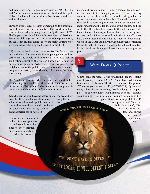bad actors; extremist organizations such as MS-13, ISIS, and Antifa; political subversion by the Cabal and their politicians; foreign policy strategies on North Korea and Iran; and much more.

Through open-source research generated by this information, Q aims to reveal who controls the world, how they control it, and what is being done to stop this control. We The People of the United States of America elected President Trump to fight against this control, as our representative, but he is not entirely alone. There are many Patriots who were and who are helping the President in this fight.

If Q serves the President, and he serves We The People, then Q and the President serve We The People together. And together, We The People need to know just what it is that we are fighting against so that we can know how to fight for our common good, for "Where we go one, we go all." This enlightenment of the public consciousness and conscience, not just in America, but worldwide, is known as the Great Awakening.

This "awakening" occurs when anons decode and decipher the meanings of crumbs and disseminate them to the rest of the public. The timing of when the crumbs are posted is important to the decoding of Q's communications.

Yet, whether the crumbs come before or after the events they describe, they nonetheless allow anons to convey the insider information to the public in order to educate and awaken those who do not know **ATHE TRUTH IS LIKE A LION** or understand the reality behind events experienced or narrated.

Anons create memes to make this message easier to understand, side by sides to show through open-source reporting what the crumbs

mean, and proofs to show Q and President Trump's connections and similar thought processes. No one is forcing anons to decode the crumbs, to research, make graphics, or spread the information to the public. The intel contained in the crumbs is revealing, informative, and educational, and anons understand it is for the good of the country and the world that the public have access to this information – after all, it affects them regardless. Millions have already been reached, and millions more will be in the future. Q's posts have shown these millions what the Cabal has been doing, who is in the Cabal and how the Cabal has been controlling the world. Yet with each revelation to the public, the control by the Cabal over humanity decreases, day by day, post by post.

#### WHY DOES Q POST?

Q first used the term "Great Awakening" on the second day of posting, October 29th, 2017, and has used it many times since. On January 8th, 2018, Q first used the phrase, "Where we go one, we go all" (WWG1WGA). Q has used many other phrases, including "Truth belongs to the people", "The choice to know will ultimately be yours", "Expand your thinking", "Dark to light", "You are not alone in this

fight", "Good will always defeat evil", "Future proves past", "Read the Bible. God Wins", "You are the calm before and during the storm", and many others.

YOU DON'T HAVE TO DEFEND IT LET IT LOOSE; IT WILL DEFEND ITSELF."

5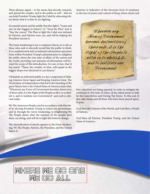These phrases signal – to the anons that decode, research, and spread the crumbs, and to the public as well – that we can help President Trump fight the Cabal by educating others about what it is that we are fighting.

Q reminds anons and the public that this fight's, "Scope and size [is the] biggest in history", to "Trust the Plan", and to "Stay the course." The Plan to fight the Cabal was initiated by Patriots, and Patriots were, are, and will be helping the President execute it.

The Great Awakening is not a conspiracy theory or a cult, as those who seek to discredit would like the public to think. It is a sophisticated and coordinated information operation from within President Trump's administration to enlighten the public about the true state of affairs of the nation and the world, providing vast amounts of information well beyond the scope of this introduction. So vast, in fact, that Q has stated, "These, the crumbs, in time, will equate to the biggest drops ever disclosed in our history."

Ultimately an informed public is a key component of Making America Great Again and Keeping America Great. The Declaration of Independence that led to the founding of the great Nation that is the United States of America states that, "Whenever any Form of Government becomes destructive of these ends, it is the Right of the People to alter or to abolish it, and to institute new Government" and such is relevant today.

We The American People acted in accordance with this ideal by electing President Trump to renew our government, and Q, through the Great Awakening, is enlightening We The People about what the enemies of the people have done, are doing, and will do to fight this historic change.

The intensification of attacks against Q, the Great Awakening, We The People, Patriots, the President, and the United States of

America is indicative of the ferocious level of resistance to the loss of power and control of those whose deeds and

Whenever any Form of Government becomes destructive of these ends. it is the Right of the People to alter or to abolish it. and to institute new Government.

true objectives are being exposed. In order to mitigate the confusion in this time of chaos, Q has asked anons to help be the Calm Before and During The Storm. To this end, Q also asks anons and all those who have been preyed upon, to pray.

God bless the Nations of the World, and God bless a World of Nations.

God bless all Patriots, President Trump, and the United States of America.